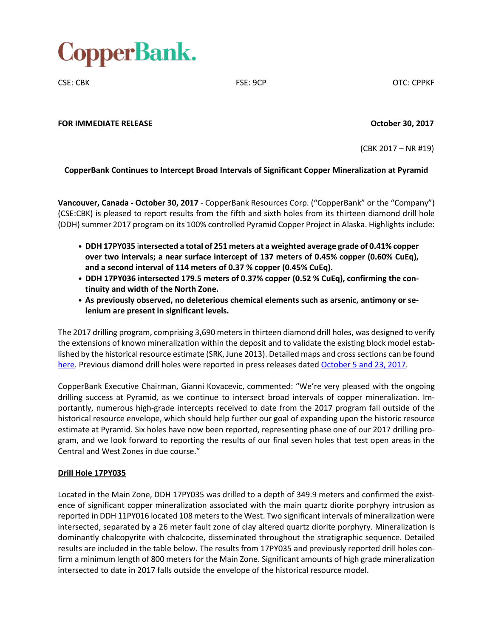

CSE: CBK CSE: OCP CSE: 9CP CSE: CBK

**FOR IMMEDIATE RELEASE October 30, 2017**

(CBK 2017 – NR #19)

### **CopperBank Continues to Intercept Broad Intervals of Significant Copper Mineralization at Pyramid**

**Vancouver, Canada - October 30, 2017** - CopperBank Resources Corp. ("CopperBank" or the "Company") (CSE:CBK) is pleased to report results from the fifth and sixth holes from its thirteen diamond drill hole (DDH) summer 2017 program on its 100% controlled Pyramid Copper Project in Alaska. Highlights include:

- **DDH 17PY035** i**ntersected a total of 251 meters at a weighted average grade of 0.41% copper over two intervals; a near surface intercept of 137 meters of 0.45% copper (0.60% CuEq), and a second interval of 114 meters of 0.37 % copper (0.45% CuEq).**
- **DDH 17PY036 intersected 179.5 meters of 0.37% copper (0.52 % CuEq), confirming the continuity and width of the North Zone.**
- **As previously observed, no deleterious chemical elements such as arsenic, antimony or selenium are present in significant levels.**

The 2017 drilling program, comprising 3,690 metersin thirteen diamond drill holes, was designed to verify the extensions of known mineralization within the deposit and to validate the existing block model established by the historical resource estimate (SRK, June 2013). Detailed maps and cross sections can be found [here.](http://copperbankcorp.com/alaska-projects/about-pyramid/pyramid-project-maps) Previous diamond drill holes were reported in press releases dated [October](http://copperbankcorp.com/wp-content/uploads/2017/10/17_100417_PyramidDrilling-2.pdf) 5 and 23, 2017.

CopperBank Executive Chairman, Gianni Kovacevic, commented: "We're very pleased with the ongoing drilling success at Pyramid, as we continue to intersect broad intervals of copper mineralization. Importantly, numerous high-grade intercepts received to date from the 2017 program fall outside of the historical resource envelope, which should help further our goal of expanding upon the historic resource estimate at Pyramid. Six holes have now been reported, representing phase one of our 2017 drilling program, and we look forward to reporting the results of our final seven holes that test open areas in the Central and West Zones in due course."

### **Drill Hole 17PY035**

Located in the Main Zone, DDH 17PY035 was drilled to a depth of 349.9 meters and confirmed the existence of significant copper mineralization associated with the main quartz diorite porphyry intrusion as reported in DDH 11PY016 located 108 metersto the West. Two significant intervals of mineralization were intersected, separated by a 26 meter fault zone of clay altered quartz diorite porphyry. Mineralization is dominantly chalcopyrite with chalcocite, disseminated throughout the stratigraphic sequence. Detailed results are included in the table below. The results from 17PY035 and previously reported drill holes confirm a minimum length of 800 meters for the Main Zone. Significant amounts of high grade mineralization intersected to date in 2017 falls outside the envelope of the historical resource model.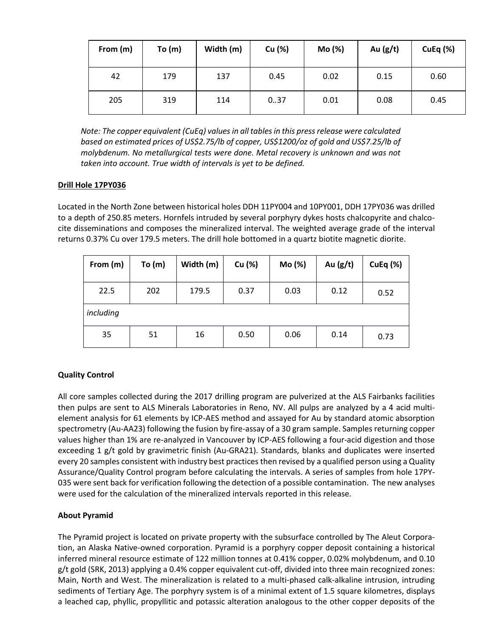| From (m) | To(m) | Width (m) | Cu (%) | Mo (%) | Au $(g/t)$ | CuEq $(%)$ |
|----------|-------|-----------|--------|--------|------------|------------|
| 42       | 179   | 137       | 0.45   | 0.02   | 0.15       | 0.60       |
| 205      | 319   | 114       | 0.37   | 0.01   | 0.08       | 0.45       |

*Note: The copper equivalent (CuEq) valuesin all tablesin this pressrelease were calculated based on estimated prices of US\$2.75/lb of copper, US\$1200/oz of gold and US\$7.25/lb of molybdenum. No metallurgical tests were done. Metal recovery is unknown and was not taken into account. True width of intervals is yet to be defined.*

## **Drill Hole 17PY036**

Located in the North Zone between historical holes DDH 11PY004 and 10PY001, DDH 17PY036 was drilled to a depth of 250.85 meters. Hornfels intruded by several porphyry dykes hosts chalcopyrite and chalcocite disseminations and composes the mineralized interval. The weighted average grade of the interval returns 0.37% Cu over 179.5 meters. The drill hole bottomed in a quartz biotite magnetic diorite.

| From (m)  | To $(m)$ | Width (m) | Cu (%) | Mo (%) | Au $(g/t)$ | CuEq $(%)$ |
|-----------|----------|-----------|--------|--------|------------|------------|
| 22.5      | 202      | 179.5     | 0.37   | 0.03   | 0.12       | 0.52       |
| including |          |           |        |        |            |            |
| 35        | 51       | 16        | 0.50   | 0.06   | 0.14       | 0.73       |

# **Quality Control**

All core samples collected during the 2017 drilling program are pulverized at the ALS Fairbanks facilities then pulps are sent to ALS Minerals Laboratories in Reno, NV. All pulps are analyzed by a 4 acid multielement analysis for 61 elements by ICP-AES method and assayed for Au by standard atomic absorption spectrometry (Au-AA23) following the fusion by fire-assay of a 30 gram sample. Samples returning copper values higher than 1% are re-analyzed in Vancouver by ICP-AES following a four-acid digestion and those exceeding 1 g/t gold by gravimetric finish (Au-GRA21). Standards, blanks and duplicates were inserted every 20 samples consistent with industry best practices then revised by a qualified person using a Quality Assurance/Quality Control program before calculating the intervals. A series of samples from hole 17PY-035 were sent back for verification following the detection of a possible contamination. The new analyses were used for the calculation of the mineralized intervals reported in this release.

# **About Pyramid**

The Pyramid project is located on private property with the subsurface controlled by The Aleut Corporation, an Alaska Native-owned corporation. Pyramid is a porphyry copper deposit containing a historical inferred mineral resource estimate of 122 million tonnes at 0.41% copper, 0.02% molybdenum, and 0.10 g/t gold (SRK, 2013) applying a 0.4% copper equivalent cut-off, divided into three main recognized zones: Main, North and West. The mineralization is related to a multi-phased calk-alkaline intrusion, intruding sediments of Tertiary Age. The porphyry system is of a minimal extent of 1.5 square kilometres, displays a leached cap, phyllic, propyllitic and potassic alteration analogous to the other copper deposits of the